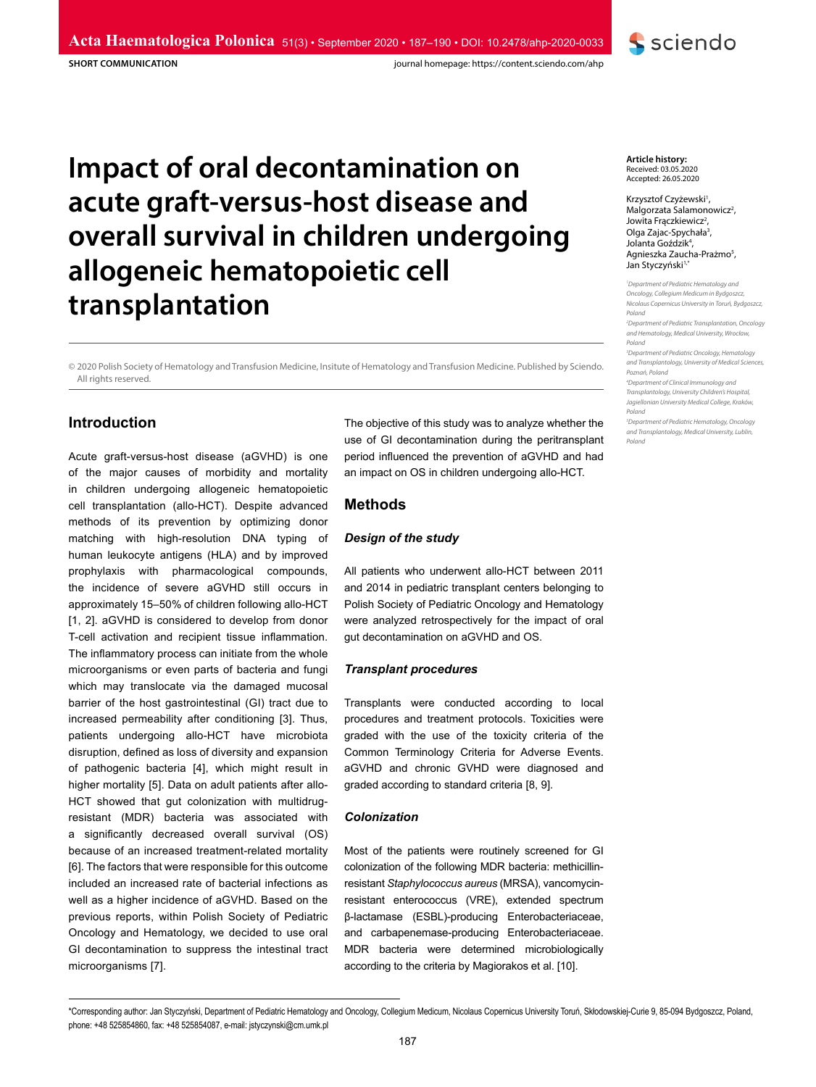**SHORT COMMUNICATION**

journal homepage: https://content.sciendo.com/ahp

# **Impact of oral decontamination on acute graft-versus-host disease and overall survival in children undergoing allogeneic hematopoietic cell transplantation**

© 2020 Polish Society of Hematology and Transfusion Medicine, Insitute of Hematology and Transfusion Medicine. Published by Sciendo. All rights reserved.

# **Introduction**

Acute graft-versus-host disease (aGVHD) is one of the major causes of morbidity and mortality in children undergoing allogeneic hematopoietic cell transplantation (allo-HCT). Despite advanced methods of its prevention by optimizing donor matching with high-resolution DNA typing of human leukocyte antigens (HLA) and by improved prophylaxis with pharmacological compounds, the incidence of severe aGVHD still occurs in approximately 15–50% of children following allo-HCT [1, 2]. aGVHD is considered to develop from donor T-cell activation and recipient tissue inflammation. The inflammatory process can initiate from the whole microorganisms or even parts of bacteria and fungi which may translocate via the damaged mucosal barrier of the host gastrointestinal (GI) tract due to increased permeability after conditioning [3]. Thus, patients undergoing allo-HCT have microbiota disruption, defined as loss of diversity and expansion of pathogenic bacteria [4], which might result in higher mortality [5]. Data on adult patients after allo-HCT showed that gut colonization with multidrugresistant (MDR) bacteria was associated with a significantly decreased overall survival (OS) because of an increased treatment-related mortality [6]. The factors that were responsible for this outcome included an increased rate of bacterial infections as well as a higher incidence of aGVHD. Based on the previous reports, within Polish Society of Pediatric Oncology and Hematology, we decided to use oral GI decontamination to suppress the intestinal tract microorganisms [7].

The objective of this study was to analyze whether the use of GI decontamination during the peritransplant period influenced the prevention of aGVHD and had an impact on OS in children undergoing allo-HCT.

# **Methods**

## *Design of the study*

All patients who underwent allo-HCT between 2011 and 2014 in pediatric transplant centers belonging to Polish Society of Pediatric Oncology and Hematology were analyzed retrospectively for the impact of oral gut decontamination on aGVHD and OS.

#### *Transplant procedures*

Transplants were conducted according to local procedures and treatment protocols. Toxicities were graded with the use of the toxicity criteria of the Common Terminology Criteria for Adverse Events. aGVHD and chronic GVHD were diagnosed and graded according to standard criteria [8, 9].

#### *Colonization*

Most of the patients were routinely screened for GI colonization of the following MDR bacteria: methicillinresistant *Staphylococcus aureus* (MRSA), vancomycinresistant enterococcus (VRE), extended spectrum β-lactamase (ESBL)-producing Enterobacteriaceae, and carbapenemase-producing Enterobacteriaceae. MDR bacteria were determined microbiologically according to the criteria by Magiorakos et al. [10].

**Article history:** Received: 03.05.2020 Accepted: 26.05.2020

Krzysztof Czyżewski<sup>1</sup>, Malgorzata Salamonowicz<sup>2</sup>, Jowita Frączkiewicz<sup>2</sup> Jowita Frączkiewicz<sup>2</sup>,<br>Olga Zajac-Spychała<sup>3</sup>, Jolanta Goździk<sup>4</sup>, Agnieszka Zaucha-Prażmo<sup>5</sup>, Jan Styczyński<sup>1,\*</sup>

**S** sciendo

*1 Department of Pediatric Hematology and Oncology, Collegium Medicum in Bydgoszcz, Nicolaus Copernicus University in Toruń, Bydgoszcz, Poland*

*2 Department of Pediatric Transplantation, Oncology and Hematology, Medical University, Wrocław, Poland*

*3 Department of Pediatric Oncology, Hematology and Transplantology, University of Medical Sciences, Poznań, Poland*

*4 Department of Clinical Immunology and Transplantology, University Children's Hospital, Jagiellonian University Medical College, Kraków, Poland*

*5 Department of Pediatric Hematology, Oncology and Transplantology, Medical University, Lublin, Poland*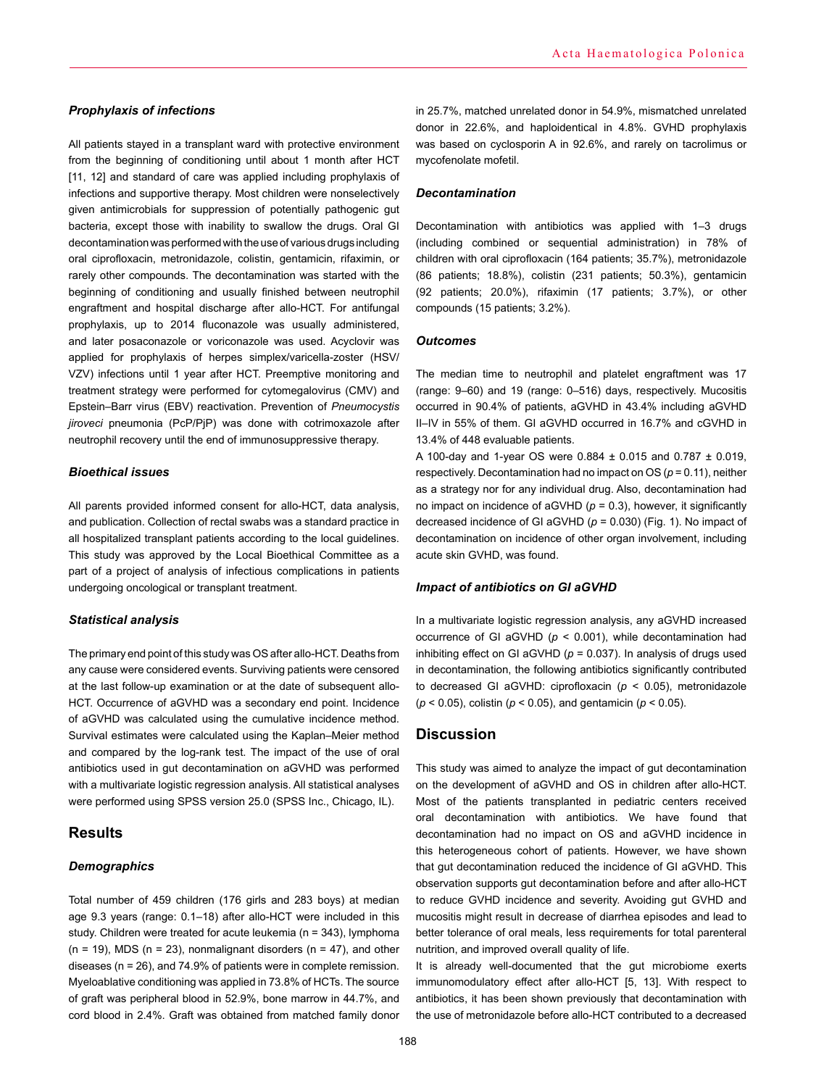#### *Prophylaxis of infections*

All patients stayed in a transplant ward with protective environment from the beginning of conditioning until about 1 month after HCT [11, 12] and standard of care was applied including prophylaxis of infections and supportive therapy. Most children were nonselectively given antimicrobials for suppression of potentially pathogenic gut bacteria, except those with inability to swallow the drugs. Oral GI decontamination was performed with the use of various drugs including oral ciprofloxacin, metronidazole, colistin, gentamicin, rifaximin, or rarely other compounds. The decontamination was started with the beginning of conditioning and usually finished between neutrophil engraftment and hospital discharge after allo-HCT. For antifungal prophylaxis, up to 2014 fluconazole was usually administered, and later posaconazole or voriconazole was used. Acyclovir was applied for prophylaxis of herpes simplex/varicella-zoster (HSV/ VZV) infections until 1 year after HCT. Preemptive monitoring and treatment strategy were performed for cytomegalovirus (CMV) and Epstein–Barr virus (EBV) reactivation. Prevention of *Pneumocystis jiroveci* pneumonia (PcP/PjP) was done with cotrimoxazole after neutrophil recovery until the end of immunosuppressive therapy.

## *Bioethical issues*

All parents provided informed consent for allo-HCT, data analysis, and publication. Collection of rectal swabs was a standard practice in all hospitalized transplant patients according to the local guidelines. This study was approved by the Local Bioethical Committee as a part of a project of analysis of infectious complications in patients undergoing oncological or transplant treatment.

## *Statistical analysis*

The primary end point of this study was OS after allo-HCT. Deaths from any cause were considered events. Surviving patients were censored at the last follow-up examination or at the date of subsequent allo-HCT. Occurrence of aGVHD was a secondary end point. Incidence of aGVHD was calculated using the cumulative incidence method. Survival estimates were calculated using the Kaplan–Meier method and compared by the log-rank test. The impact of the use of oral antibiotics used in gut decontamination on aGVHD was performed with a multivariate logistic regression analysis. All statistical analyses were performed using SPSS version 25.0 (SPSS Inc., Chicago, IL).

# **Results**

## *Demographics*

Total number of 459 children (176 girls and 283 boys) at median age 9.3 years (range: 0.1–18) after allo-HCT were included in this study. Children were treated for acute leukemia (n = 343), lymphoma  $(n = 19)$ , MDS  $(n = 23)$ , nonmalignant disorders  $(n = 47)$ , and other diseases (n = 26), and 74.9% of patients were in complete remission. Myeloablative conditioning was applied in 73.8% of HCTs. The source of graft was peripheral blood in 52.9%, bone marrow in 44.7%, and cord blood in 2.4%. Graft was obtained from matched family donor

in 25.7%, matched unrelated donor in 54.9%, mismatched unrelated donor in 22.6%, and haploidentical in 4.8%. GVHD prophylaxis was based on cyclosporin A in 92.6%, and rarely on tacrolimus or mycofenolate mofetil.

#### *Decontamination*

Decontamination with antibiotics was applied with 1–3 drugs (including combined or sequential administration) in 78% of children with oral ciprofloxacin (164 patients; 35.7%), metronidazole (86 patients; 18.8%), colistin (231 patients; 50.3%), gentamicin (92 patients; 20.0%), rifaximin (17 patients; 3.7%), or other compounds (15 patients; 3.2%).

#### *Outcomes*

The median time to neutrophil and platelet engraftment was 17 (range: 9–60) and 19 (range: 0–516) days, respectively. Mucositis occurred in 90.4% of patients, aGVHD in 43.4% including aGVHD II–IV in 55% of them. GI aGVHD occurred in 16.7% and cGVHD in 13.4% of 448 evaluable patients.

A 100-day and 1-year OS were 0.884 ± 0.015 and 0.787 ± 0.019, respectively. Decontamination had no impact on OS (*p* = 0.11), neither as a strategy nor for any individual drug. Also, decontamination had no impact on incidence of aGVHD  $(p = 0.3)$ , however, it significantly decreased incidence of GI aGVHD (*p* = 0.030) (Fig. 1). No impact of decontamination on incidence of other organ involvement, including acute skin GVHD, was found.

#### *Impact of antibiotics on GI aGVHD*

In a multivariate logistic regression analysis, any aGVHD increased occurrence of GI aGVHD (*p* < 0.001), while decontamination had inhibiting effect on GI aGVHD (*p* = 0.037). In analysis of drugs used in decontamination, the following antibiotics significantly contributed to decreased GI aGVHD: ciprofloxacin (*p* < 0.05), metronidazole (*p* < 0.05), colistin (*p* < 0.05), and gentamicin (*p* < 0.05).

# **Discussion**

This study was aimed to analyze the impact of gut decontamination on the development of aGVHD and OS in children after allo-HCT. Most of the patients transplanted in pediatric centers received oral decontamination with antibiotics. We have found that decontamination had no impact on OS and aGVHD incidence in this heterogeneous cohort of patients. However, we have shown that gut decontamination reduced the incidence of GI aGVHD. This observation supports gut decontamination before and after allo-HCT to reduce GVHD incidence and severity. Avoiding gut GVHD and mucositis might result in decrease of diarrhea episodes and lead to better tolerance of oral meals, less requirements for total parenteral nutrition, and improved overall quality of life.

It is already well-documented that the gut microbiome exerts immunomodulatory effect after allo-HCT [5, 13]. With respect to antibiotics, it has been shown previously that decontamination with the use of metronidazole before allo-HCT contributed to a decreased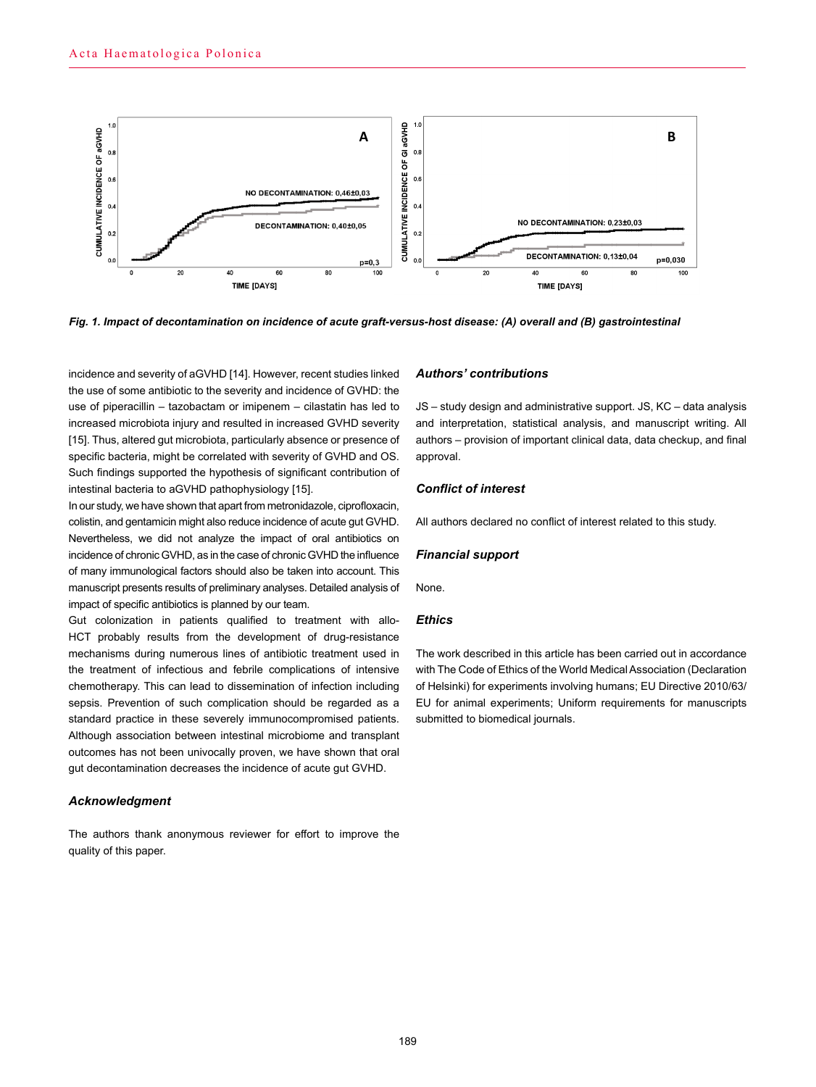

Fig. 1. Impact of decontamination on incidence of acute graft-versus-host disease: (A) overall and (B) gastrointestinal<br>.

incidence and severity of aGVHD [14]. However, recent studies linked the use of some antibiotic to the severity and incidence of GVHD: the use of piperacillin – tazobactam or imipenem – cilastatin has led to increased microbiota injury and resulted in increased GVHD severity [15]. Thus, altered gut microbiota, particularly absence or presence of specific bacteria, might be correlated with severity of GVHD and OS. Such findings supported the hypothesis of significant contribution of intestinal bacteria to aGVHD pathophysiology [15].

In our study, we have shown that apart from metronidazole, ciprofloxacin, colistin, and gentamicin might also reduce incidence of acute gut GVHD. Nevertheless, we did not analyze the impact of oral antibiotics on incidence of chronic GVHD, as in the case of chronic GVHD the influence of many immunological factors should also be taken into account. This manuscript presents results of preliminary analyses. Detailed analysis of impact of specific antibiotics is planned by our team.

Gut colonization in patients qualified to treatment with allo-HCT probably results from the development of drug-resistance mechanisms during numerous lines of antibiotic treatment used in the treatment of infectious and febrile complications of intensive chemotherapy. This can lead to dissemination of infection including sepsis. Prevention of such complication should be regarded as a standard practice in these severely immunocompromised patients. Although association between intestinal microbiome and transplant outcomes has not been univocally proven, we have shown that oral gut decontamination decreases the incidence of acute gut GVHD.

#### *Acknowledgment*

The authors thank anonymous reviewer for effort to improve the quality of this paper.

#### *Authors' contributions*

JS – study design and administrative support. JS, KC – data analysis and interpretation, statistical analysis, and manuscript writing. All authors – provision of important clinical data, data checkup, and final approval.

#### *Conflict of interest*

All authors declared no conflict of interest related to this study.

#### *Financial support*

None.

## *Ethics*

The work described in this article has been carried out in accordance with The Code of Ethics of the World Medical Association (Declaration of Helsinki) for experiments involving humans; EU Directive 2010/63/ EU for animal experiments; Uniform requirements for manuscripts submitted to biomedical journals.